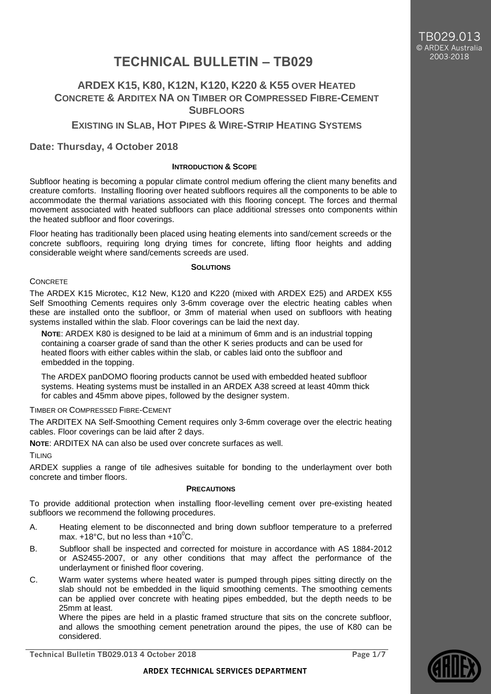# **TECHNICAL BULLETIN – TB029**

# **ARDEX K15, K80, K12N, K120, K220 & K55 OVER HEATED CONCRETE & ARDITEX NA ON TIMBER OR COMPRESSED FIBRE-CEMENT SUBFLOORS**

**EXISTING IN SLAB, HOT PIPES & WIRE-STRIP HEATING SYSTEMS**

## **Date: Thursday, 4 October 2018**

#### **INTRODUCTION & SCOPE**

Subfloor heating is becoming a popular climate control medium offering the client many benefits and creature comforts. Installing flooring over heated subfloors requires all the components to be able to accommodate the thermal variations associated with this flooring concept. The forces and thermal movement associated with heated subfloors can place additional stresses onto components within the heated subfloor and floor coverings.

Floor heating has traditionally been placed using heating elements into sand/cement screeds or the concrete subfloors, requiring long drying times for concrete, lifting floor heights and adding considerable weight where sand/cements screeds are used.

#### **SOLUTIONS**

#### **CONCRETE**

The ARDEX K15 Microtec, K12 New, K120 and K220 (mixed with ARDEX E25) and ARDEX K55 Self Smoothing Cements requires only 3-6mm coverage over the electric heating cables when these are installed onto the subfloor, or 3mm of material when used on subfloors with heating systems installed within the slab. Floor coverings can be laid the next day.

**NOTE**: ARDEX K80 is designed to be laid at a minimum of 6mm and is an industrial topping containing a coarser grade of sand than the other K series products and can be used for heated floors with either cables within the slab, or cables laid onto the subfloor and embedded in the topping.

The ARDEX panDOMO flooring products cannot be used with embedded heated subfloor systems. Heating systems must be installed in an ARDEX A38 screed at least 40mm thick for cables and 45mm above pipes, followed by the designer system.

### TIMBER OR COMPRESSED FIBRE-CEMENT

The ARDITEX NA Self-Smoothing Cement requires only 3-6mm coverage over the electric heating cables. Floor coverings can be laid after 2 days.

**NOTE**: ARDITEX NA can also be used over concrete surfaces as well.

**TILING** 

ARDEX supplies a range of tile adhesives suitable for bonding to the underlayment over both concrete and timber floors.

#### **PRECAUTIONS**

To provide additional protection when installing floor-levelling cement over pre-existing heated subfloors we recommend the following procedures.

- A. Heating element to be disconnected and bring down subfloor temperature to a preferred max.  $+18^{\circ}$ C, but no less than  $+10^{\circ}$ C.
- B. Subfloor shall be inspected and corrected for moisture in accordance with AS 1884-2012 or AS2455-2007, or any other conditions that may affect the performance of the underlayment or finished floor covering.
- C. Warm water systems where heated water is pumped through pipes sitting directly on the slab should not be embedded in the liquid smoothing cements. The smoothing cements can be applied over concrete with heating pipes embedded, but the depth needs to be 25mm at least.

Where the pipes are held in a plastic framed structure that sits on the concrete subfloor, and allows the smoothing cement penetration around the pipes, the use of K80 can be considered.

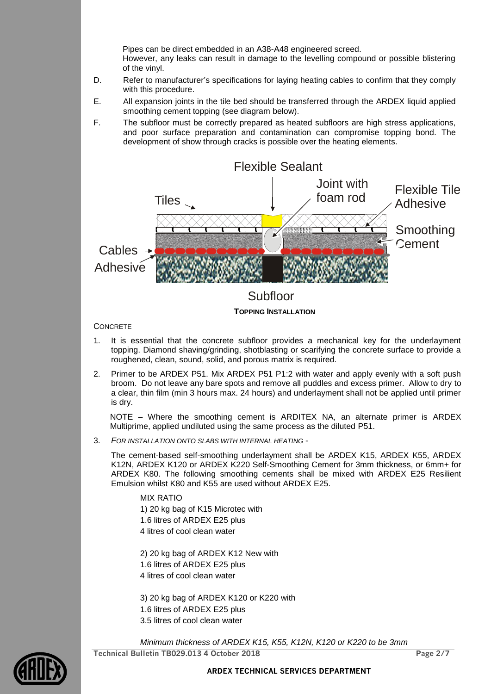Pipes can be direct embedded in an A38-A48 engineered screed. However, any leaks can result in damage to the levelling compound or possible blistering of the vinyl.

- D. Refer to manufacturer's specifications for laying heating cables to confirm that they comply with this procedure.
- E. All expansion joints in the tile bed should be transferred through the ARDEX liquid applied smoothing cement topping (see diagram below).
- F. The subfloor must be correctly prepared as heated subfloors are high stress applications, and poor surface preparation and contamination can compromise topping bond. The development of show through cracks is possible over the heating elements.



#### **CONCRETE**

- 1. It is essential that the concrete subfloor provides a mechanical key for the underlayment topping. Diamond shaving/grinding, shotblasting or scarifying the concrete surface to provide a roughened, clean, sound, solid, and porous matrix is required.
- 2. Primer to be ARDEX P51. Mix ARDEX P51 P1:2 with water and apply evenly with a soft push broom. Do not leave any bare spots and remove all puddles and excess primer. Allow to dry to a clear, thin film (min 3 hours max. 24 hours) and underlayment shall not be applied until primer is dry.

NOTE – Where the smoothing cement is ARDITEX NA, an alternate primer is ARDEX Multiprime, applied undiluted using the same process as the diluted P51.

3. *FOR INSTALLATION ONTO SLABS WITH INTERNAL HEATING* -

The cement-based self-smoothing underlayment shall be ARDEX K15, ARDEX K55, ARDEX K12N, ARDEX K120 or ARDEX K220 Self-Smoothing Cement for 3mm thickness, or 6mm+ for ARDEX K80. The following smoothing cements shall be mixed with ARDEX E25 Resilient Emulsion whilst K80 and K55 are used without ARDEX E25.

#### MIX RATIO

1) 20 kg bag of K15 Microtec with 1.6 litres of ARDEX E25 plus 4 litres of cool clean water

2) 20 kg bag of ARDEX K12 New with

- 1.6 litres of ARDEX E25 plus
- 4 litres of cool clean water

3) 20 kg bag of ARDEX K120 or K220 with 1.6 litres of ARDEX E25 plus 3.5 litres of cool clean water

**Technical Bulletin TB029.013 4 October 2018 Page 2/7** *Minimum thickness of ARDEX K15, K55, K12N, K120 or K220 to be 3mm*

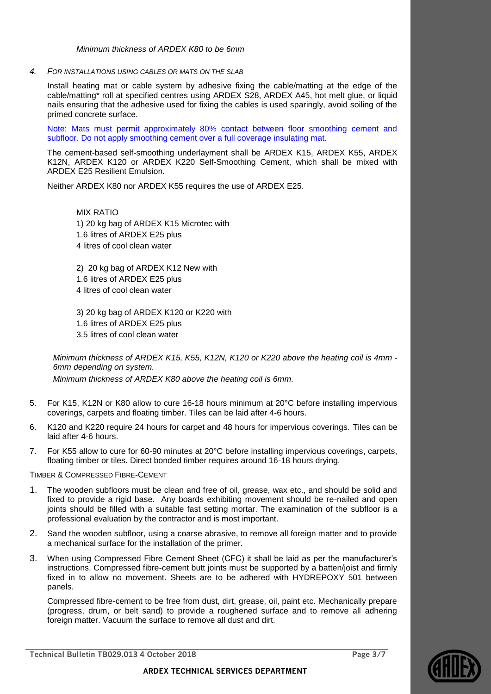*Minimum thickness of ARDEX K80 to be 6mm*

*4. FOR INSTALLATIONS USING CABLES OR MATS ON THE SLAB*

Install heating mat or cable system by adhesive fixing the cable/matting at the edge of the cable/matting\* roll at specified centres using ARDEX S28, ARDEX A45, hot melt glue, or liquid nails ensuring that the adhesive used for fixing the cables is used sparingly, avoid soiling of the primed concrete surface.

Note: Mats must permit approximately 80% contact between floor smoothing cement and subfloor. Do not apply smoothing cement over a full coverage insulating mat.

The cement-based self-smoothing underlayment shall be ARDEX K15, ARDEX K55, ARDEX K12N, ARDEX K120 or ARDEX K220 Self-Smoothing Cement, which shall be mixed with ARDEX E25 Resilient Emulsion.

Neither ARDEX K80 nor ARDEX K55 requires the use of ARDEX E25.

MIX RATIO 1) 20 kg bag of ARDEX K15 Microtec with 1.6 litres of ARDEX E25 plus 4 litres of cool clean water

2) 20 kg bag of ARDEX K12 New with 1.6 litres of ARDEX E25 plus 4 litres of cool clean water

3) 20 kg bag of ARDEX K120 or K220 with 1.6 litres of ARDEX E25 plus 3.5 litres of cool clean water

*Minimum thickness of ARDEX K15, K55, K12N, K120 or K220 above the heating coil is 4mm - 6mm depending on system.*

*Minimum thickness of ARDEX K80 above the heating coil is 6mm.*

- 5. For K15, K12N or K80 allow to cure 16-18 hours minimum at 20°C before installing impervious coverings, carpets and floating timber. Tiles can be laid after 4-6 hours.
- 6. K120 and K220 require 24 hours for carpet and 48 hours for impervious coverings. Tiles can be laid after 4-6 hours.
- 7. For K55 allow to cure for 60-90 minutes at 20°C before installing impervious coverings, carpets, floating timber or tiles. Direct bonded timber requires around 16-18 hours drying.

TIMBER & COMPRESSED FIBRE-CEMENT

- 1. The wooden subfloors must be clean and free of oil, grease, wax etc., and should be solid and fixed to provide a rigid base. Any boards exhibiting movement should be re-nailed and open joints should be filled with a suitable fast setting mortar. The examination of the subfloor is a professional evaluation by the contractor and is most important.
- 2. Sand the wooden subfloor, using a coarse abrasive, to remove all foreign matter and to provide a mechanical surface for the installation of the primer.
- 3. When using Compressed Fibre Cement Sheet (CFC) it shall be laid as per the manufacturer's instructions. Compressed fibre-cement butt joints must be supported by a batten/joist and firmly fixed in to allow no movement. Sheets are to be adhered with HYDREPOXY 501 between panels.

Compressed fibre-cement to be free from dust, dirt, grease, oil, paint etc. Mechanically prepare (progress, drum, or belt sand) to provide a roughened surface and to remove all adhering foreign matter. Vacuum the surface to remove all dust and dirt.

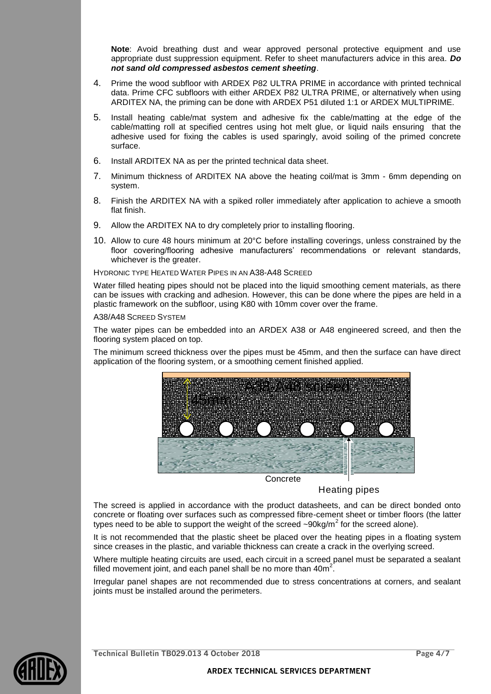**Note**: Avoid breathing dust and wear approved personal protective equipment and use appropriate dust suppression equipment. Refer to sheet manufacturers advice in this area. *Do not sand old compressed asbestos cement sheeting*.

- 4. Prime the wood subfloor with ARDEX P82 ULTRA PRIME in accordance with printed technical data. Prime CFC subfloors with either ARDEX P82 ULTRA PRIME, or alternatively when using ARDITEX NA, the priming can be done with ARDEX P51 diluted 1:1 or ARDEX MULTIPRIME.
- 5. Install heating cable/mat system and adhesive fix the cable/matting at the edge of the cable/matting roll at specified centres using hot melt glue, or liquid nails ensuring that the adhesive used for fixing the cables is used sparingly, avoid soiling of the primed concrete surface.
- 6. Install ARDITEX NA as per the printed technical data sheet.
- 7. Minimum thickness of ARDITEX NA above the heating coil/mat is 3mm 6mm depending on system.
- 8. Finish the ARDITEX NA with a spiked roller immediately after application to achieve a smooth flat finish.
- 9. Allow the ARDITEX NA to dry completely prior to installing flooring.
- 10. Allow to cure 48 hours minimum at 20°C before installing coverings, unless constrained by the floor covering/flooring adhesive manufacturers' recommendations or relevant standards, whichever is the greater.

HYDRONIC TYPE HEATED WATER PIPES IN AN A38-A48 SCREED

Water filled heating pipes should not be placed into the liquid smoothing cement materials, as there can be issues with cracking and adhesion. However, this can be done where the pipes are held in a plastic framework on the subfloor, using K80 with 10mm cover over the frame.

A38/A48 SCREED SYSTEM

The water pipes can be embedded into an ARDEX A38 or A48 engineered screed, and then the flooring system placed on top.

The minimum screed thickness over the pipes must be 45mm, and then the surface can have direct application of the flooring system, or a smoothing cement finished applied.



**Concrete** 

Heating pipes

The screed is applied in accordance with the product datasheets, and can be direct bonded onto concrete or floating over surfaces such as compressed fibre-cement sheet or timber floors (the latter types need to be able to support the weight of the screed  $\sim 90$ kg/m<sup>2</sup> for the screed alone).

It is not recommended that the plastic sheet be placed over the heating pipes in a floating system since creases in the plastic, and variable thickness can create a crack in the overlying screed.

Where multiple heating circuits are used, each circuit in a screed panel must be separated a sealant filled movement joint, and each panel shall be no more than  $40m^2$ .

Irregular panel shapes are not recommended due to stress concentrations at corners, and sealant joints must be installed around the perimeters.

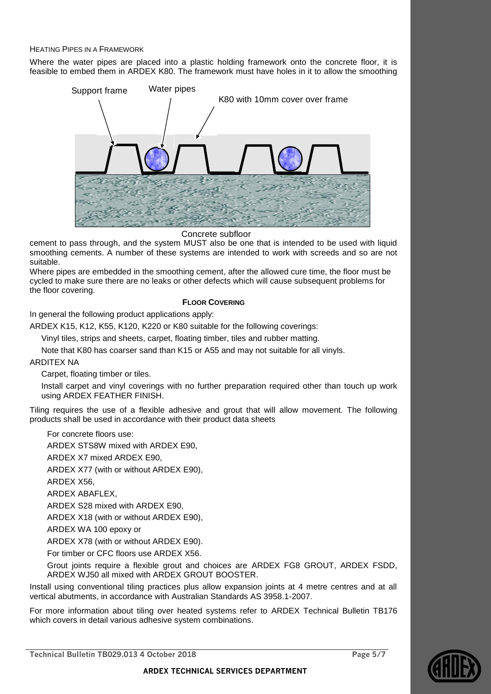#### HEATING PIPES IN A FRAMEWORK

Where the water pipes are placed into a plastic holding framework onto the concrete floor, it is feasible to embed them in ARDEX K80. The framework must have holes in it to allow the smoothing



Concrete subfloor

cement to pass through, and the system MUST also be one that is intended to be used with liquid smoothing cements. A number of these systems are intended to work with screeds and so are not suitable.

Where pipes are embedded in the smoothing cement, after the allowed cure time, the floor must be cycled to make sure there are no leaks or other defects which will cause subsequent problems for the floor covering.

#### **FLOOR COVERING**

In general the following product applications apply:

ARDEX K15, K12, K55, K120, K220 or K80 suitable for the following coverings:

Vinyl tiles, strips and sheets, carpet, floating timber, tiles and rubber matting.

Note that K80 has coarser sand than K15 or A55 and may not suitable for all vinyls.

ARDITEX NA

Carpet, floating timber or tiles.

Install carpet and vinyl coverings with no further preparation required other than touch up work using ARDEX FEATHER FINISH.

Tiling requires the use of a flexible adhesive and grout that will allow movement. The following products shall be used in accordance with their product data sheets

For concrete floors use:

ARDEX STS8W mixed with ARDEX E90,

ARDEX X7 mixed ARDEX E90,

ARDEX X77 (with or without ARDEX E90),

ARDEX X56,

ARDEX ABAFLEX,

ARDEX S28 mixed with ARDEX E90,

ARDEX X18 (with or without ARDEX E90),

ARDEX WA 100 epoxy or

ARDEX X78 (with or without ARDEX E90).

For timber or CFC floors use ARDEX X56.

Grout joints require a flexible grout and choices are ARDEX FG8 GROUT, ARDEX FSDD, ARDEX WJ50 all mixed with ARDEX GROUT BOOSTER.

Install using conventional tiling practices plus allow expansion joints at 4 metre centres and at all vertical abutments, in accordance with Australian Standards AS 3958.1-2007.

For more information about tiling over heated systems refer to ARDEX Technical Bulletin TB176 which covers in detail various adhesive system combinations.

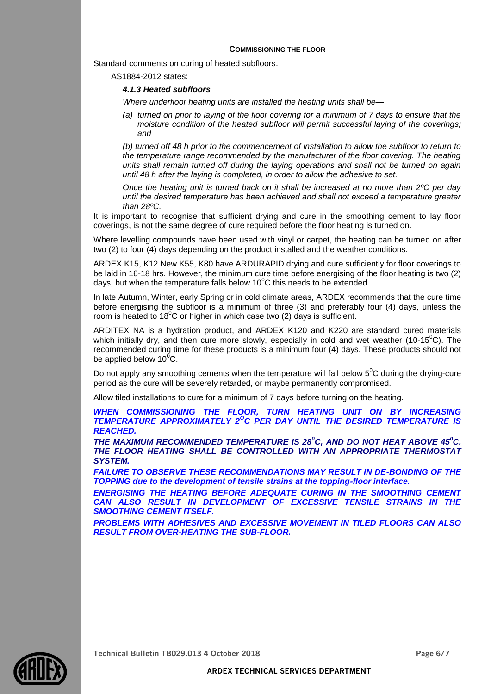#### **COMMISSIONING THE FLOOR**

Standard comments on curing of heated subfloors.

AS1884-2012 states:

#### *4.1.3 Heated subfloors*

*Where underfloor heating units are installed the heating units shall be—*

*(a) turned on prior to laying of the floor covering for a minimum of 7 days to ensure that the moisture condition of the heated subfloor will permit successful laying of the coverings; and*

*(b) turned off 48 h prior to the commencement of installation to allow the subfloor to return to the temperature range recommended by the manufacturer of the floor covering. The heating units shall remain turned off during the laying operations and shall not be turned on again until 48 h after the laying is completed, in order to allow the adhesive to set.*

*Once the heating unit is turned back on it shall be increased at no more than 2ºC per day until the desired temperature has been achieved and shall not exceed a temperature greater than 28ºC.*

It is important to recognise that sufficient drying and cure in the smoothing cement to lay floor coverings, is not the same degree of cure required before the floor heating is turned on.

Where levelling compounds have been used with vinyl or carpet, the heating can be turned on after two (2) to four (4) days depending on the product installed and the weather conditions.

ARDEX K15, K12 New K55, K80 have ARDURAPID drying and cure sufficiently for floor coverings to be laid in 16-18 hrs. However, the minimum cure time before energising of the floor heating is two (2) days, but when the temperature falls below  $10^{\circ}$ C this needs to be extended.

In late Autumn, Winter, early Spring or in cold climate areas, ARDEX recommends that the cure time before energising the subfloor is a minimum of three (3) and preferably four (4) days, unless the room is heated to 18 $^{\circ}$ C or higher in which case two (2) days is sufficient.

ARDITEX NA is a hydration product, and ARDEX K120 and K220 are standard cured materials which initially dry, and then cure more slowly, especially in cold and wet weather (10-15<sup>o</sup>C). The recommended curing time for these products is a minimum four (4) days. These products should not be applied below  $10^{\circ}$ C.

Do not apply any smoothing cements when the temperature will fall below  $5^0C$  during the drying-cure period as the cure will be severely retarded, or maybe permanently compromised.

Allow tiled installations to cure for a minimum of 7 days before turning on the heating.

WHEN COMMISSIONING THE FLOOR, TURN HEATING UNIT ON BY INCREASING *TEMPERATURE APPROXIMATELY 2<sup>O</sup>C PER DAY UNTIL THE DESIRED TEMPERATURE IS REACHED.*

*THE MAXIMUM RECOMMENDED TEMPERATURE IS 28<sup>0</sup>C, AND DO NOT HEAT ABOVE 45<sup>0</sup>C. THE FLOOR HEATING SHALL BE CONTROLLED WITH AN APPROPRIATE THERMOSTAT SYSTEM.*

**FAILURE TO OBSERVE THESE RECOMMENDATIONS MAY RESULT IN DE-BONDING OF THE** *TOPPING due to the development of tensile strains at the topping-floor interface.* 

*ENERGISING THE HEATING BEFORE ADEQUATE CURING IN THE SMOOTHING CEMENT CAN ALSO RESULT IN DEVELOPMENT OF EXCESSIVE TENSILE STRAINS IN THE SMOOTHING CEMENT ITSELF.*

*PROBLEMS WITH ADHESIVES AND EXCESSIVE MOVEMENT IN TILED FLOORS CAN ALSO RESULT FROM OVER-HEATING THE SUB-FLOOR.*